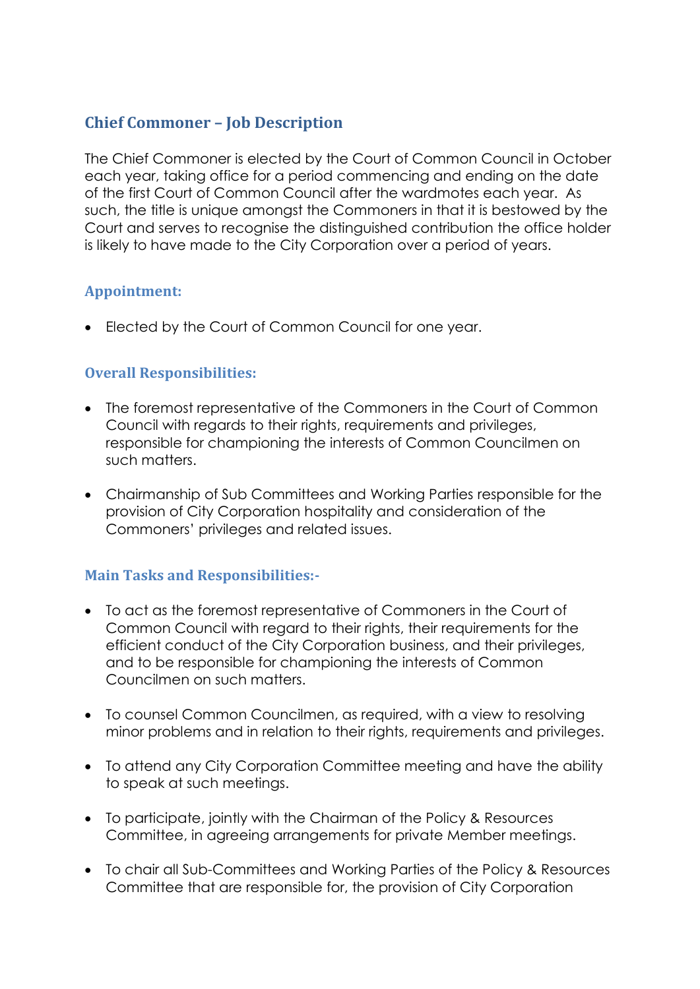## **Chief Commoner – Job Description**

The Chief Commoner is elected by the Court of Common Council in October each year, taking office for a period commencing and ending on the date of the first Court of Common Council after the wardmotes each year. As such, the title is unique amongst the Commoners in that it is bestowed by the Court and serves to recognise the distinguished contribution the office holder is likely to have made to the City Corporation over a period of years.

### **Appointment:**

Elected by the Court of Common Council for one year.

## **Overall Responsibilities:**

- The foremost representative of the Commoners in the Court of Common Council with regards to their rights, requirements and privileges, responsible for championing the interests of Common Councilmen on such matters.
- Chairmanship of Sub Committees and Working Parties responsible for the provision of City Corporation hospitality and consideration of the Commoners' privileges and related issues.

### **Main Tasks and Responsibilities:-**

- To act as the foremost representative of Commoners in the Court of Common Council with regard to their rights, their requirements for the efficient conduct of the City Corporation business, and their privileges, and to be responsible for championing the interests of Common Councilmen on such matters.
- To counsel Common Councilmen, as required, with a view to resolving minor problems and in relation to their rights, requirements and privileges.
- To attend any City Corporation Committee meeting and have the ability to speak at such meetings.
- To participate, jointly with the Chairman of the Policy & Resources Committee, in agreeing arrangements for private Member meetings.
- To chair all Sub-Committees and Working Parties of the Policy & Resources Committee that are responsible for, the provision of City Corporation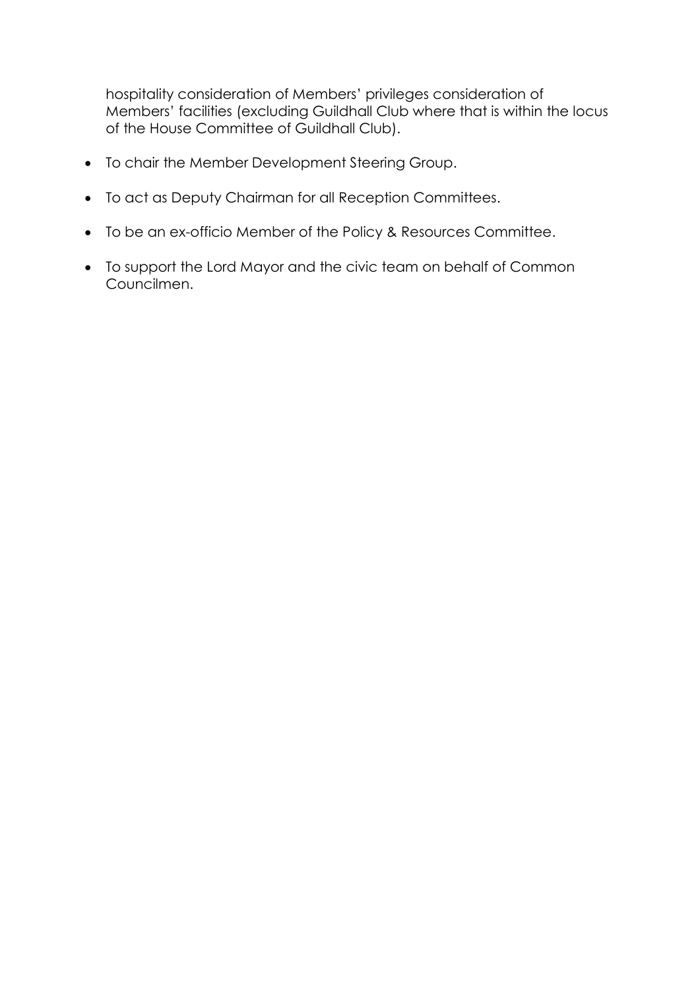hospitality consideration of Members' privileges consideration of Members' facilities (excluding Guildhall Club where that is within the locus of the House Committee of Guildhall Club).

- To chair the Member Development Steering Group.
- To act as Deputy Chairman for all Reception Committees.
- To be an ex-officio Member of the Policy & Resources Committee.
- To support the Lord Mayor and the civic team on behalf of Common Councilmen.